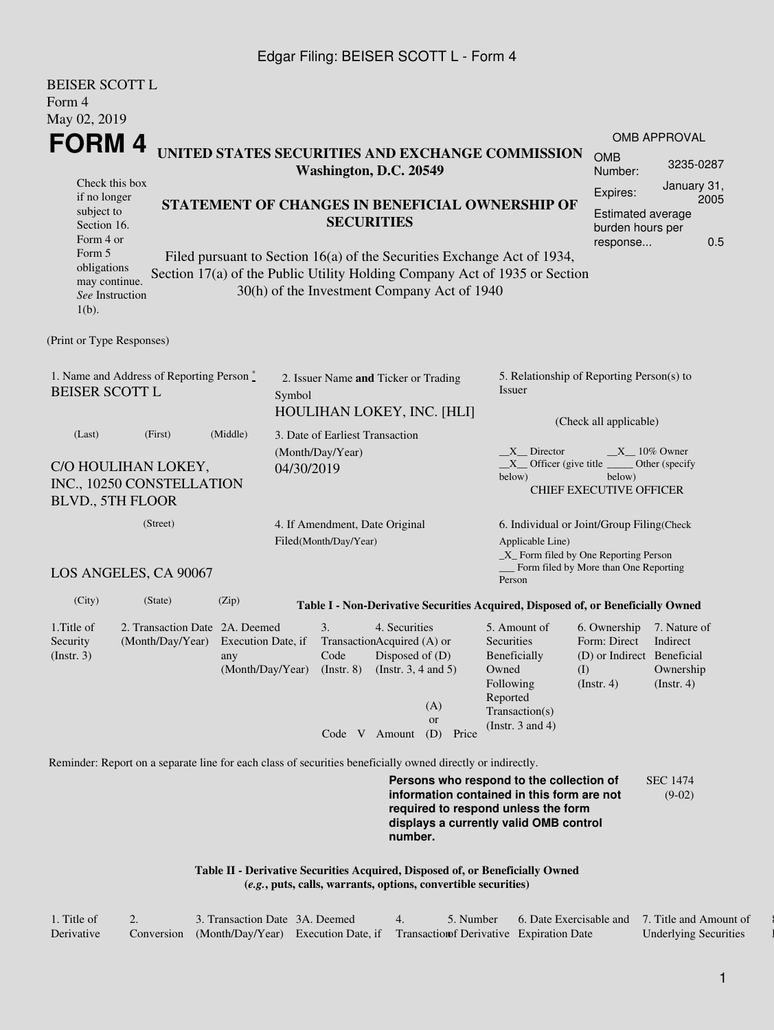#### Edgar Filing: BEISER SCOTT L - Form 4

BEISER SCOTT L

| BEISEK SCOTT L<br>Form 4                                                                                                                                                                                                                                                                                                                                                                                                                                                                                                                            |                           |           |                                 |                                                                                                                                                         |                                                                                                                                                                         |                                                                                                                 |                                                           |  |
|-----------------------------------------------------------------------------------------------------------------------------------------------------------------------------------------------------------------------------------------------------------------------------------------------------------------------------------------------------------------------------------------------------------------------------------------------------------------------------------------------------------------------------------------------------|---------------------------|-----------|---------------------------------|---------------------------------------------------------------------------------------------------------------------------------------------------------|-------------------------------------------------------------------------------------------------------------------------------------------------------------------------|-----------------------------------------------------------------------------------------------------------------|-----------------------------------------------------------|--|
| May 02, 2019                                                                                                                                                                                                                                                                                                                                                                                                                                                                                                                                        |                           |           |                                 |                                                                                                                                                         |                                                                                                                                                                         |                                                                                                                 | <b>OMB APPROVAL</b>                                       |  |
| FORM 4<br>UNITED STATES SECURITIES AND EXCHANGE COMMISSION                                                                                                                                                                                                                                                                                                                                                                                                                                                                                          | <b>OMB</b><br>Number:     | 3235-0287 |                                 |                                                                                                                                                         |                                                                                                                                                                         |                                                                                                                 |                                                           |  |
| Washington, D.C. 20549<br>Check this box<br>January 31,<br>Expires:<br>if no longer<br>2005<br>STATEMENT OF CHANGES IN BENEFICIAL OWNERSHIP OF<br>subject to<br>Estimated average<br><b>SECURITIES</b><br>Section 16.<br>burden hours per<br>Form 4 or<br>response<br>Form 5<br>Filed pursuant to Section 16(a) of the Securities Exchange Act of 1934,<br>obligations<br>Section 17(a) of the Public Utility Holding Company Act of 1935 or Section<br>may continue.<br>30(h) of the Investment Company Act of 1940<br>See Instruction<br>$1(b)$ . |                           |           |                                 |                                                                                                                                                         |                                                                                                                                                                         |                                                                                                                 |                                                           |  |
| (Print or Type Responses)                                                                                                                                                                                                                                                                                                                                                                                                                                                                                                                           |                           |           |                                 |                                                                                                                                                         |                                                                                                                                                                         |                                                                                                                 |                                                           |  |
| 1. Name and Address of Reporting Person $\stackrel{*}{\mathbb{L}}$<br><b>BEISER SCOTT L</b><br>Symbol                                                                                                                                                                                                                                                                                                                                                                                                                                               |                           |           |                                 | 2. Issuer Name and Ticker or Trading<br>HOULIHAN LOKEY, INC. [HLI]                                                                                      | 5. Relationship of Reporting Person(s) to<br>Issuer<br>(Check all applicable)                                                                                           |                                                                                                                 |                                                           |  |
| (Middle)<br>(Last)<br>(First)<br>(Month/Day/Year)<br>C/O HOULIHAN LOKEY,<br>04/30/2019<br>INC., 10250 CONSTELLATION<br>BLVD., 5TH FLOOR                                                                                                                                                                                                                                                                                                                                                                                                             |                           |           | 3. Date of Earliest Transaction |                                                                                                                                                         | $X$ Director<br>below)                                                                                                                                                  | $X_1$ 10% Owner<br>$X$ Officer (give title $\_\_\_\$ Other (specify<br>below)<br><b>CHIEF EXECUTIVE OFFICER</b> |                                                           |  |
| (Street)<br>4. If Amendment, Date Original<br>Filed(Month/Day/Year)<br>LOS ANGELES, CA 90067                                                                                                                                                                                                                                                                                                                                                                                                                                                        |                           |           |                                 |                                                                                                                                                         | 6. Individual or Joint/Group Filing(Check<br>Applicable Line)<br>_X_ Form filed by One Reporting Person<br>Form filed by More than One Reporting<br>Person              |                                                                                                                 |                                                           |  |
| (City)<br>(State)                                                                                                                                                                                                                                                                                                                                                                                                                                                                                                                                   | (Zip)                     |           |                                 | Table I - Non-Derivative Securities Acquired, Disposed of, or Beneficially Owned                                                                        |                                                                                                                                                                         |                                                                                                                 |                                                           |  |
| 1. Title of<br>2. Transaction Date 2A. Deemed<br>(Month/Day/Year)<br>Security<br>$($ Instr. 3 $)$                                                                                                                                                                                                                                                                                                                                                                                                                                                   | Execution Date, if<br>any |           | 3.<br>Code<br>Code V Amount     | 4. Securities<br>TransactionAcquired (A) or<br>Disposed of $(D)$<br>(Month/Day/Year) (Instr. 8) (Instr. 3, 4 and 5)<br>(A)<br><b>or</b><br>(D)<br>Price | 5. Amount of<br>Securities<br>Beneficially<br>Owned<br>Following<br>Reported<br>Transaction(s)<br>(Instr. $3$ and $4$ )                                                 | 6. Ownership<br>Form: Direct<br>(D) or Indirect Beneficial<br>(I)<br>$($ Instr. 4 $)$                           | 7. Nature of<br>Indirect<br>Ownership<br>$($ Instr. 4 $)$ |  |
| Reminder: Report on a separate line for each class of securities beneficially owned directly or indirectly.                                                                                                                                                                                                                                                                                                                                                                                                                                         |                           |           |                                 | number.<br>Table II - Derivative Securities Acquired, Disposed of, or Beneficially Owned                                                                | Persons who respond to the collection of<br>information contained in this form are not<br>required to respond unless the form<br>displays a currently valid OMB control |                                                                                                                 | <b>SEC 1474</b><br>$(9-02)$                               |  |

**(***e.g.***, puts, calls, warrants, options, convertible securities)**

| 1. Title of | 3. Transaction Date 3A. Deemed                                                           |  | 5. Number 6. Date Exercisable and 7. Title and Amount of |                              |
|-------------|------------------------------------------------------------------------------------------|--|----------------------------------------------------------|------------------------------|
| Derivative  | Conversion (Month/Day/Year) Execution Date, if Transaction of Derivative Expiration Date |  |                                                          | <b>Underlying Securities</b> |

1

8. Price of Derivative